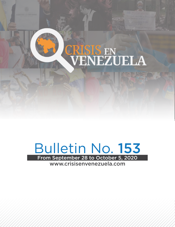

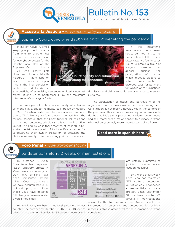

## Bulletin No. 153

From September 28 to October 5, 2020

#### **Acceso a la Justicia -** *www.accesoalajusticia.org*

#### Supreme Court: opacity and submission to Power along the pandemic

along the

In current Covid-19 times, keeping a prudent distance from one to another has become an everyday usage for everybody except for the Constitutional Hall of the Supreme Court of Justice (TSJ), who clearly gets closer and closer to Nicolás Maduro's administration since the pandemic began. This is the final conclusion we have arrived at in Acceso



The major part of Judicial Power paralyzed activities six months ago, due to the measures imposed by Maduro on March 13, when he decreed the state of alarm; and also due to TSJ's Plenary Hall's resolutions, derived from the former. Despite all that, the Constitutional Hall has gone on emitting sentences, principally to favor the Executive. Out of 87 ruling issued in these months, at least 38 (44%) availed decisions adopted in Miraflores Palace -either for safeguarding their own interests; or for attacking the National Assembly; or for restricting political dissidence.



In the meantime, venezuelans' needs seem not to be important to the Constitutional Hall. This is a bitter taste we feel in cases like, for example: a group of lawyers presented an appeal against the paralyzation of justice, which impedes citizens to solve affairs such as divorces; sues for payment for wages or for unjustified

The paralyzation of justice; and, particularly, of the organism that is responsible for interpreting our Constitution; is not really a novelty. Yet, in the context of the pandemic, this situation proves beyond a reasonable doubt that TSJ's aim is protecting Maduro's government; and this represents a major danger to ordinary citizens, who feel progressively more unprotected before Power.



# oro Penal

#### **Foro Penal -** *www.foropenal.com*

#### 62 detentions along 2 weeks of manifestations

By October 2, 2020, Foro Penal had registered 15.634 arbitrary arrests in Venezuela since January 1st, 2014. 870 civilians have been presented before Military Courts. Up to date, we have accumulated 3.513 political prisoners. From those, 3.165 have obtained full liberty or release under diverse modalities.



which 24 are women. Besides, 9.283 persons were or still complaints.

are unfairly submitted to judicial processes under caution measures.

By the end of last week, Foro Penal had registered 373 arbitrary detentions, out of which 261 happened consequentially to social protest. Since September 16, we have counted 62 arrests in manifestations,

By April 2014, we had 117 political prisoners in our increment of repression and detentions for political country. The number by October 2, 2020, is 348, out of reasons is always associated to the augment of citizens' above all in the states of Yaracuy and Nueva Esparta. The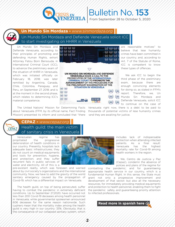

Bulletin No. 153

From September 28 to October 5, 2020

#### **Un Mundo Sin Mordaza -** *www.sinmordaza.org*

**CEPA7** 

Un Mundo Sin Mordaza and Defiende Venezuela solicit ICC to start investigating on HHRR in Venezuela

Un Mundo Sin Mordaza and Defiende Venezuela, according to their principles of promoting and defending Human Rights, exhort Attorney Fatou Born Bensouda, in International Criminal Court (ICC), to advance the preliminary exam of the situation of HHRR in Venezuela, which was initiated officially on February 18, 2018; was later remitted by Argentina, Canada, Chile, Colombia, Paraguay, and Peru, on September 27, 2018; and is at the moment in the second phase, which relates to determining ICC's material competence.



-**2**-

are reasonable motives" to believe that lese humanity crimes have been committed in our country; and, according to Art. 7 of the Statute of Rome, ICC is competent to know these types of offences.

We ask ICC to begin the third phase of the preliminary exam, because there are enough convincing elements for doing so, as stated in FFM's report. Therefore, we, Un Mundo Sin Mordaza and Defiende Venezuela, solicit ICC to continue on the case of

The United Nations' Mission for Determining Facts Venezuela: right now, there is a debt to be paid to about Venezuela (FFM, by its official name, Fact Finding thousands of potential victims of lese humanity crimes Mission) presented its inform and concluded that "there -and they are awaiting for justice.

#### Health guild: the main victim **CEPAZ -** *www.cepaz.org*

of sanitary crisis in Venezuela

Venezuelan regime has propitiated the progressive deterioration of health conditions in our country. Presently, hospitals lack adequate basic infrastructures; they do not count on medical equipments and tools for prevention, hygiene, and protection; and they suffer recurrent fails in public services of water and electricity. All of this is a

pre-existant reality, which was foreseen and warned about by civil society's organizations and the international community. Now, we have to add the gravity of the world sanitary emergency caused by the propagation of Covid-19, which has a differential impact on Venezuela.

The health guild, on top of being persecuted, suffer having to combat the pandemic in extremely deficient conditions. Up to September 27,2020, have occurred not less than 200 Covid-19 deceases among health personnel in Venezuela; while governmental spokesmen announced 606 deceases for the same reason nationwide. Such cyphers mean that the mortality index among the health guild is very high in our country: 33%. Obviously, that is the consequence of our collapsed sanitary system, which

includes lack of indispensable protection when attending infected patients. As a final result: Venezuela has the highest mortality rate for Covid-19 among health workers in the region.

We, Centro de Justicia y Paz (Cepaz), condemn the absence of polices and plans of the regime for

combatting the pandemic; and for guaranteeing appropriate health service in our country, which is a fundamental Human Right. In this sense, the State must grant not only a progressive improvement and development of that sector; but also all the necessary resources, for immediately providing medical equipments and protection to health personnel, enabling them to fight the pandemic safely, and guaranteeing priority attention to infected professionals.

Read more in spanish here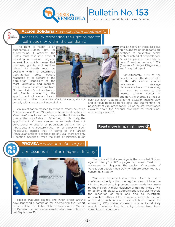

### Bulletin No. 153 From September 28 to October 5, 2020

#### **Acción Solidaria -** *www.accionsolidaria.info*

Accessibility respecting the right to health: real inequality within the pandemic

The right to health is an autonomous Human Right. For guaranteeing it properly, the States must take into account providing a standard physical accessibility, which means that premises, goods, and services related to health must be available within a determined geographical area, equally reachable by all sectors of the population -especially of the most vulnerable and marginal ones. However, instructions from Nicolás Maduro's administration, last March, concerning the appointment of certain health



centers as sentinel hopitals for Covid-19 cases, do not comply with standards of accessibility.

An investigation realized by website Prodavinci, titled "Inequality and Covid-19: distances to sentinel centers in Venezuela", concludes that "the greater the distances, the greater the risk of death". According to this study, the appointment of these centers as sentinels does not correspond to criteria of population density; nor of infrastructural charactereristics; nor of capacity. Such inadequacy causes that, in some of the largest Venezuelan entities- like the state of Zulia- there are only 2 sentinel hospitals; while the state of Miranda, much

smaller, has 6 of those. Besides, high numbers of inhabitants are destined to preventive health centers instead of hospitals type IV, as happens in the state of Lara: 2 sentinel centers, 1 CDI (Centers of Integral Diagnosing) and 1 hospital type I.

Unfortunately, 40% of the population are attended in just 7 of the 46 sentinel centers nationwide. Average Venezuelans have to move along 27.7 kms. for arriving to the nearest sentinel center. In addition, the shortage of gas all

affected by Covid-19. over our country aggravates the situation, making slow and difficult people's translations; and augmenting the possibility of viral propagation. All of the aforementioned explains about the "inequal coverage" to venezuelans





#### **PROVEA -** *www.derechos.org.ve*

Confessions in "Inform against Infamy"



Nicolás Maduro's regime and inner circles around have launched a campaign for discrediting the Report presented by the United Nations' Independent Mission for Determining Facts in Venezuela, which was published last September 16.

The spine of that campaign is the so-called "Inform against Infamy", a 122 – pages document. Most of it addresses to disqualify the cycles of protests of Venezuelan people since 2014, which are presented as a conspiring strategy.

The most important about this Inform is that it confesses -openly! - that the regime does not have the slightest intention to implement recommendations made by the Mission. A major evidence of this: no signs of will to rectify; and refusal to adopting public policies to avoid the repetition of facts; and also, to investigate presumable authors of lese humanity crimes. At the end of the day, such Inform is one additional reason for advancing ICC's preliminary exam, in order to definitely establish whether lese humanity crimes have been committed in Venezuela.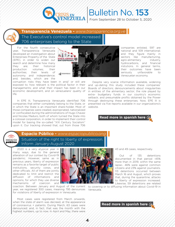

# Bulletin No. 153

From September 28 to October 5, 2020

#### **Transparencia Venezuela -** *www.transparencia.org.ve*

The Executive's control model increased: 706 enterprises belong to the State

For the fourth consecutive year, Transparencia Venezuela developed an investigation about Enterprises Property of the State (EPE), in order to widen our search and determine how many they are; their historical production volumes; their authorities; their levels of autonomy and independence; and, besides, which are the



corruption risks they have been in and/ or still are exposed to; how relevant is the political factor in their managements; and what their impact has been in our economic development, and on venezuelans' quality of life.

In EPE III, Transparencia Venezuela identified 706 companies that either completely belong to the State, or in which the State is an important share-holder. Most of those companies were created, expropriated, nationalized or confiscated during the administrations of Hugo Chavez and Nicolas Maduro, both of whom turned the State into a colossal corporation, in order to implement their control model for basing the so-called "XXI Century Socialism" upon it. Our tracking showed that, out from those 706

companies enlisted, 597 are national and 109 international; and they figure mainly in sectors like manufacturing, agro-alimentary industry, hydrocarbons, and financial instutions. In general terms, their outcomes have been seriously unfavorable to Venezuelan economy.

Despite very scarce information available, widening and up-dating this study included these companies' Boards of directors; denouncements about irregularities in entities of the alimentary sector; the role played by extra- budgetary funds in our country's economic setback; and presumable profits obtained by the Power through destroying these enterprises. Now, EPE III is presented via five reports available in our organizations's website.

https://bit.ly/30ssDvF

#### espacio publico

**Espacio Público -** *www.espaciopublico.ong*

Situation of the right to liberty of expression. Inform January-August 2020

2020 is a very atypical year in many ways, due to the general alteration of our context by Covid-19 pandemic. However, same as in previous years, liberty of expression remains as a favorite target of public institutions, security corps, and other officials. All of them are jointly dedicated to limit and restrict the diffusion of informations and opinions, for which they use diverse mechanisms of coercion and



-**4**-

year, we registered 300 cases, meaning 795 denounces Venezuela. for violations of liberty of expression in Venezuela.

Most cases were registered from March onwards, when the state of alarm was decreed, at the appearance of coronavirus + patients. During March, 63 cases were denounced; and, in fact, that was the month with the highest numbers, up to now. In April and May, there were 43 and 49 cases, respectively.

Out of 135 detentions documented in that period -45% more than in 2019, within the same lapse-, 46% were against common citizens and 23% against journalists. 113 detentions occurred between March 16 and August, which proves that, during the quarantine, attacks to liberty of expression increased. Likewise, 59 detentions are related

coaction. Between January and August of the current to covering or to diffusing information about Covid-19 in

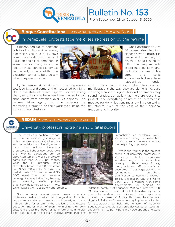

Bulletin No. 153 From September 28 to October 5, 2020

#### **Bloque Constitucional -** *www.bloqueconstitucional.com*



#### In Venezuela, protests face merciless repression by the regime

Citizens, fed up of constant fails in all public services -water, electricity, gas, and fuel-, have taken the streets to protest and insist on their just demands. In some towns in many states, the lack of these services is almost permanent, to the point that the exception comes to be precisely when they are provided.



By September 28, 2020, such protesting events totalized 100; and some of them occurred by night, like in the state of Nueva Esparta. For repressing them, security corps have used tear gas and small shot, apart from arresting over 30 persons. The regime strikes again, this time ordering the repressing groups to do their work even inside the houses of manifestants.

Our Constitution's Art. 68 consecrates the right citizens have to protest in peace and unarmed, for which they just need to fulfill the requirements established by Law; and prohibits the use of fire arms and toxic substances to keep these happenings under

control. Thus, security corps, when they confront manifestations the way they are doing it now, are violating a civic civil right. This kind of remarks may sound iterative; but, as long as there are reasons to protest -and everything points at an increment in motives for doing it-, venezuelans will go on taking the streets, even at the cost of their personal freedom and integrity.

## **RedUni**

### University professors: extreme and digital poors

**REDUNI -** *www.redunivenezuela.com*

The need of a political change, and the corresponding change in public policies concerning all sectors -and especially the university one- is more than evident. University professors tell about how deplorable their working conditions are: an appointed top-of-the-scale professor earns less than USD 3 per month, while the 15- products basic alimentary basket costs 8 times that sum (USD 120); and the 60-products basket costs 100 times more (USD 300). Apart from that, insurance coverage for Hospitalization, Surgery, and Maternity (HCM policy) practically does not exist any more,



of normal work markets, meaning the deepening of poverty. While the former is the present

unreachable via academic work. Venezuela is facing the destruction

scenario of university professors in Venezuela, multilateral organisms worldwide organize for combating poverty in different ways. Among them, outstand efforts made to overcome the digital gap, given that technologies contribute significantly to economic growth. This is the reason why the World Bank (WB) is working with some governments, for avoiding an

indefinite paralysis of education. WB calculates that 100 MM people around the world could fall in extreme poverty due to the pandemic; and, in its most recent report, are quoted the cases of Turkey, Pakistan, Rwanda, and Nigeria; in Pakistan, for example, they implemented a plan for acquisitions, to help the Ministry of Superior Education to provide electronic devices to all students, enabling them to participate in diverse options of distant learning.

which leaves them absolutely unprotected.

Such a labor precariousness makes university professors unable to afford technological equipments: computers and stable connections to Internet, which are indispensable for assuming the challenge that distant education implies. Many of them, for making their own sustenance possible, have joined informal commercial activities, in order to obtain income levels that are